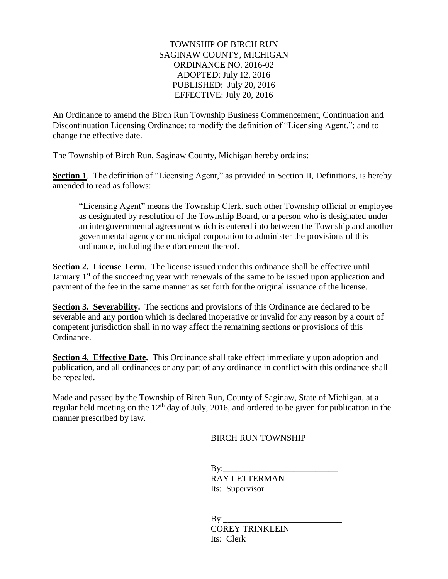## TOWNSHIP OF BIRCH RUN SAGINAW COUNTY, MICHIGAN ORDINANCE NO. 2016-02 ADOPTED: July 12, 2016 PUBLISHED: July 20, 2016 EFFECTIVE: July 20, 2016

An Ordinance to amend the Birch Run Township Business Commencement, Continuation and Discontinuation Licensing Ordinance; to modify the definition of "Licensing Agent."; and to change the effective date.

The Township of Birch Run, Saginaw County, Michigan hereby ordains:

**Section 1.** The definition of "Licensing Agent," as provided in Section II, Definitions, is hereby amended to read as follows:

"Licensing Agent" means the Township Clerk, such other Township official or employee as designated by resolution of the Township Board, or a person who is designated under an intergovernmental agreement which is entered into between the Township and another governmental agency or municipal corporation to administer the provisions of this ordinance, including the enforcement thereof.

**Section 2. License Term**. The license issued under this ordinance shall be effective until January 1<sup>st</sup> of the succeeding year with renewals of the same to be issued upon application and payment of the fee in the same manner as set forth for the original issuance of the license.

**Section 3. Severability.** The sections and provisions of this Ordinance are declared to be severable and any portion which is declared inoperative or invalid for any reason by a court of competent jurisdiction shall in no way affect the remaining sections or provisions of this Ordinance.

**Section 4. Effective Date.** This Ordinance shall take effect immediately upon adoption and publication, and all ordinances or any part of any ordinance in conflict with this ordinance shall be repealed.

Made and passed by the Township of Birch Run, County of Saginaw, State of Michigan, at a regular held meeting on the  $12<sup>th</sup>$  day of July, 2016, and ordered to be given for publication in the manner prescribed by law.

BIRCH RUN TOWNSHIP

 $Bv:$ 

 RAY LETTERMAN Its: Supervisor

 $Bv:$ COREY TRINKLEIN Its: Clerk